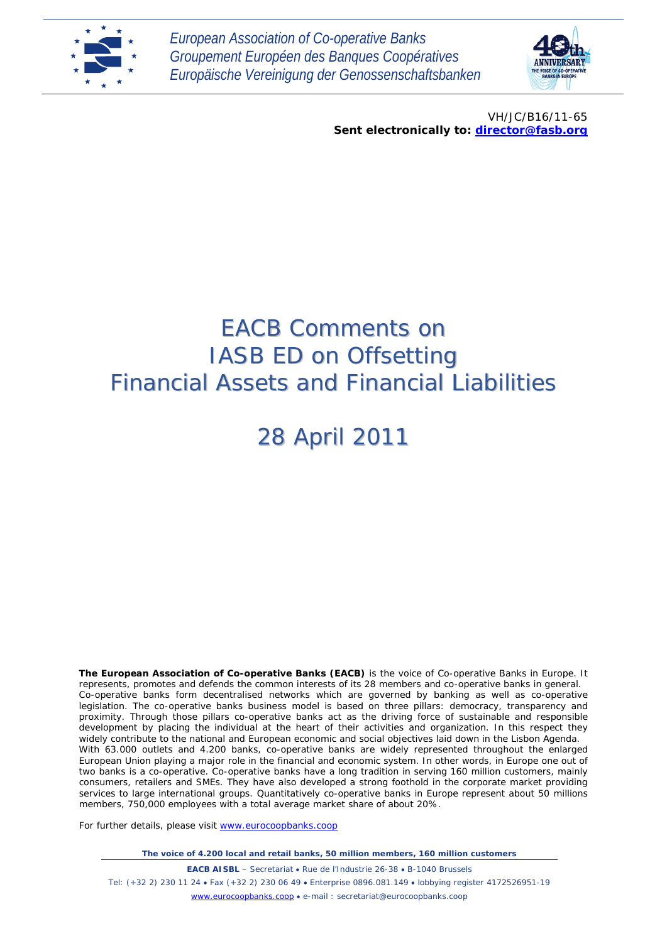



VH/JC/B16/11-65 *Sent electronically to: [director@fasb.org](mailto:director@fasb.org)*

# EACB Comments on IASB ED on Offsetting Financial Assets and Financial Liabilities

28 April 2011

**The European Association of Co-operative Banks (EACB)** is the voice of Co-operative Banks in Europe. It represents, promotes and defends the common interests of its 28 members and co-operative banks in general. Co-operative banks form decentralised networks which are governed by banking as well as co-operative legislation. The co-operative banks business model is based on three pillars: democracy, transparency and proximity. Through those pillars co-operative banks act as the driving force of sustainable and responsible development by placing the individual at the heart of their activities and organization. In this respect they widely contribute to the national and European economic and social objectives laid down in the Lisbon Agenda. With 63.000 outlets and 4.200 banks, co-operative banks are widely represented throughout the enlarged European Union playing a major role in the financial and economic system. In other words, in Europe one out of two banks is a co-operative. Co-operative banks have a long tradition in serving 160 million customers, mainly consumers, retailers and SMEs. They have also developed a strong foothold in the corporate market providing services to large international groups. Quantitatively co-operative banks in Europe represent about 50 millions members, 750,000 employees with a total average market share of about 20%.

For further details, please visit [www.eurocoopbanks.coop](http://www.eurocoopbanks.coop/)

*The voice of 4.200 local and retail banks, 50 million members, 160 million customers*

**EACB AISBL** – Secretariat • Rue de l'Industrie 26-38 • B-1040 Brussels Tel: (+32 2) 230 11 24 • Fax (+32 2) 230 06 49 • Enterprise 0896.081.149 • lobbying register 4172526951-19 [www.eurocoopbanks.coop](http://www.eurocoopbanks.coop/) • e-mail : secretariat@eurocoopbanks.coop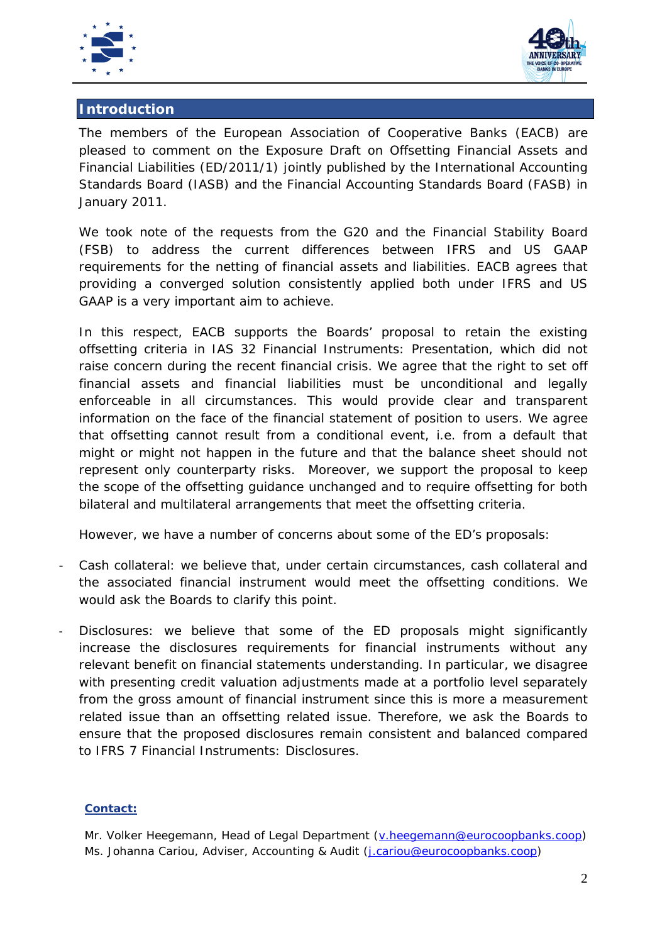



## **Introduction**

The members of the European Association of Cooperative Banks (EACB) are pleased to comment on the Exposure Draft on Offsetting Financial Assets and Financial Liabilities (ED/2011/1) jointly published by the International Accounting Standards Board (IASB) and the Financial Accounting Standards Board (FASB) in January 2011.

We took note of the requests from the G20 and the Financial Stability Board (FSB) to address the current differences between IFRS and US GAAP requirements for the netting of financial assets and liabilities. EACB agrees that providing a converged solution consistently applied both under IFRS and US GAAP is a very important aim to achieve.

In this respect, EACB supports the Boards' proposal to retain the existing offsetting criteria in IAS 32 Financial Instruments: *Presentation*, which did not raise concern during the recent financial crisis. We agree that the right to set off financial assets and financial liabilities must be unconditional and legally enforceable in all circumstances. This would provide clear and transparent information on the face of the financial statement of position to users. We agree that offsetting cannot result from a conditional event, i.e. from a default that might or might not happen in the future and that the balance sheet should not represent only counterparty risks. Moreover, we support the proposal to keep the scope of the offsetting guidance unchanged and to require offsetting for both bilateral and multilateral arrangements that meet the offsetting criteria.

However, we have a number of concerns about some of the ED's proposals:

- Cash collateral: we believe that, under certain circumstances, cash collateral and the associated financial instrument would meet the offsetting conditions. We would ask the Boards to clarify this point.
- Disclosures: we believe that some of the ED proposals might significantly increase the disclosures requirements for financial instruments without any relevant benefit on financial statements understanding. In particular, we disagree with presenting credit valuation adjustments made at a portfolio level separately from the gross amount of financial instrument since this is more a measurement related issue than an offsetting related issue. Therefore, we ask the Boards to ensure that the proposed disclosures remain consistent and balanced compared to IFRS 7 Financial Instruments: *Disclosures.*

#### **Contact:**

*Mr. Volker Heegemann, Head of Legal Department* [\(v.heegemann@eurocoopbanks.coop\)](mailto:v.heegemann@eurocoopbanks.coop) *Ms. Johanna Cariou, Adviser, Accounting & Audit* [\(j.cariou@eurocoopbanks.coop\)](mailto:j.cariou@eurocoopbanks.coop)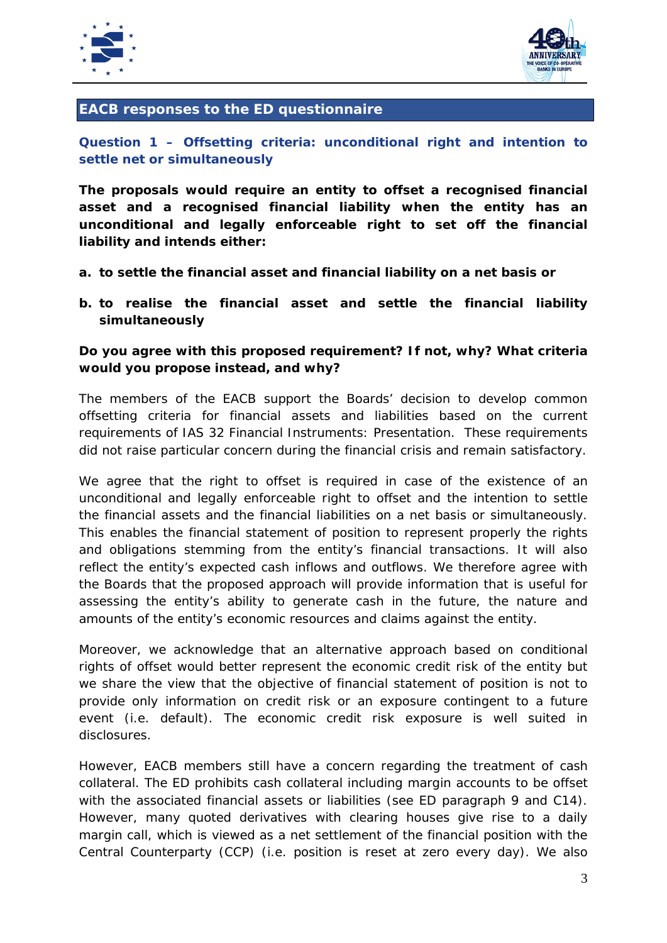



## **EACB responses to the ED questionnaire**

**Question 1 – Offsetting criteria: unconditional right and intention to settle net or simultaneously**

**The proposals would require an entity to offset a recognised financial asset and a recognised financial liability when the entity has an unconditional and legally enforceable right to set off the financial liability and intends either:**

- **a. to settle the financial asset and financial liability on a net basis or**
- **b. to realise the financial asset and settle the financial liability simultaneously**

## **Do you agree with this proposed requirement? If not, why? What criteria would you propose instead, and why?**

The members of the EACB support the Boards' decision to develop common offsetting criteria for financial assets and liabilities based on the current requirements of IAS 32 Financial Instruments: *Presentation*. These requirements did not raise particular concern during the financial crisis and remain satisfactory.

We agree that the right to offset is required in case of the existence of an unconditional and legally enforceable right to offset and the intention to settle the financial assets and the financial liabilities on a net basis or simultaneously. This enables the financial statement of position to represent properly the rights and obligations stemming from the entity's financial transactions. It will also reflect the entity's expected cash inflows and outflows. We therefore agree with the Boards that the proposed approach will provide information that is useful for assessing the entity's ability to generate cash in the future, the nature and amounts of the entity's economic resources and claims against the entity.

Moreover, we acknowledge that an alternative approach based on conditional rights of offset would better represent the economic credit risk of the entity but we share the view that the objective of financial statement of position is not to provide only information on credit risk or an exposure contingent to a future event (i.e. default). The economic credit risk exposure is well suited in disclosures.

However, EACB members still have a concern regarding the treatment of cash collateral. The ED prohibits cash collateral including margin accounts to be offset with the associated financial assets or liabilities (see ED paragraph 9 and C14). However, many quoted derivatives with clearing houses give rise to a daily margin call, which is viewed as a net settlement of the financial position with the Central Counterparty (CCP) (i.e. position is reset at zero every day). We also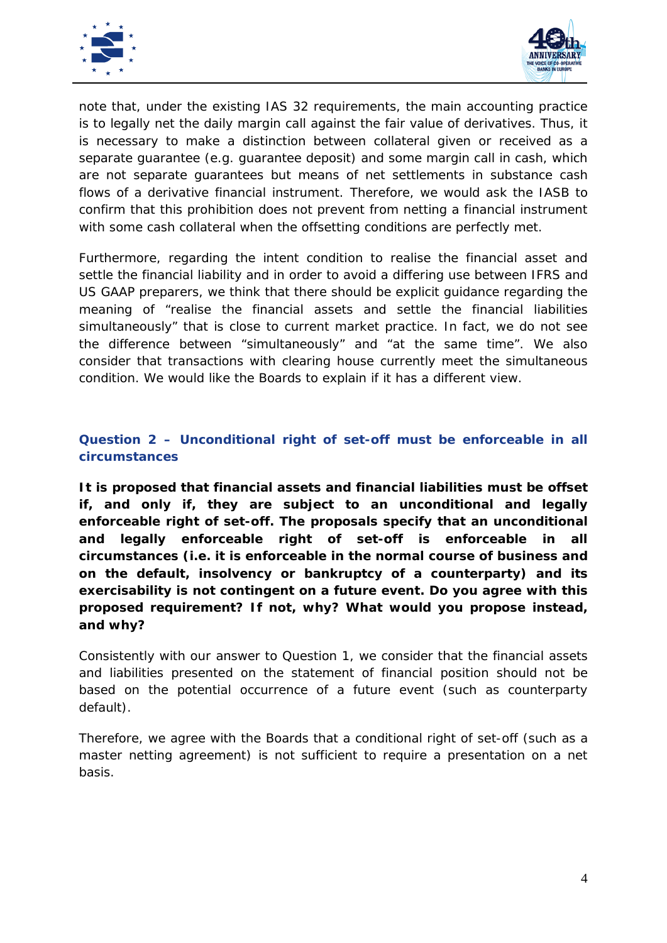



note that, under the existing IAS 32 requirements, the main accounting practice is to legally net the daily margin call against the fair value of derivatives. Thus, it is necessary to make a distinction between collateral given or received as a separate guarantee (e.g. guarantee deposit) and some margin call in cash, which are not separate guarantees but means of net settlements in substance cash flows of a derivative financial instrument. Therefore, we would ask the IASB to confirm that this prohibition does not prevent from netting a financial instrument with some cash collateral when the offsetting conditions are perfectly met.

Furthermore, regarding the intent condition to realise the financial asset and settle the financial liability and in order to avoid a differing use between IFRS and US GAAP preparers, we think that there should be explicit guidance regarding the meaning of "realise the financial assets and settle the financial liabilities *simultaneously*" that is close to current market practice. In fact, we do not see the difference between "simultaneously" and "at the same time". We also consider that transactions with clearing house currently meet the simultaneous condition. We would like the Boards to explain if it has a different view.

## **Question 2 – Unconditional right of set-off must be enforceable in all circumstances**

**It is proposed that financial assets and financial liabilities must be offset if, and only if, they are subject to an unconditional and legally enforceable right of set-off. The proposals specify that an unconditional and legally enforceable right of set-off is enforceable in all circumstances (i.e. it is enforceable in the normal course of business and on the default, insolvency or bankruptcy of a counterparty) and its exercisability is not contingent on a future event. Do you agree with this proposed requirement? If not, why? What would you propose instead, and why?**

Consistently with our answer to Question 1, we consider that the financial assets and liabilities presented on the statement of financial position should not be based on the potential occurrence of a future event (such as counterparty default).

Therefore, we agree with the Boards that a conditional right of set-off (such as a master netting agreement) is not sufficient to require a presentation on a net basis.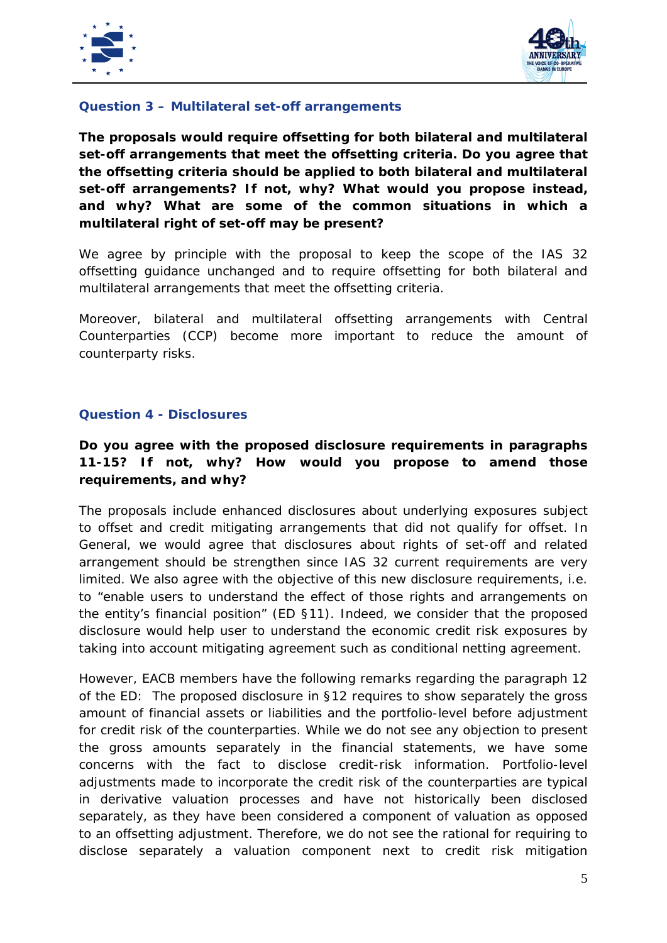



#### **Question 3 – Multilateral set-off arrangements**

**The proposals would require offsetting for both bilateral and multilateral set-off arrangements that meet the offsetting criteria. Do you agree that the offsetting criteria should be applied to both bilateral and multilateral set-off arrangements? If not, why? What would you propose instead, and why? What are some of the common situations in which a multilateral right of set-off may be present?**

We agree by principle with the proposal to keep the scope of the IAS 32 offsetting guidance unchanged and to require offsetting for both bilateral and multilateral arrangements that meet the offsetting criteria.

Moreover, bilateral and multilateral offsetting arrangements with Central Counterparties (CCP) become more important to reduce the amount of counterparty risks.

## **Question 4 - Disclosures**

## **Do you agree with the proposed disclosure requirements in paragraphs 11-15? If not, why? How would you propose to amend those requirements, and why?**

The proposals include enhanced disclosures about underlying exposures subject to offset and credit mitigating arrangements that did not qualify for offset. In General, we would agree that disclosures about rights of set-off and related arrangement should be strengthen since IAS 32 current requirements are very limited. We also agree with the objective of this new disclosure requirements, i.e. to "enable users to understand the effect of those rights and arrangements on the entity's financial position" (ED §11). Indeed, we consider that the proposed disclosure would help user to understand the economic credit risk exposures by taking into account mitigating agreement such as conditional netting agreement.

However, EACB members have the following remarks regarding the paragraph 12 of the ED: The proposed disclosure in §12 requires to show separately the gross amount of financial assets or liabilities and the portfolio-level before adjustment for credit risk of the counterparties. While we do not see any objection to present the gross amounts separately in the financial statements, we have some concerns with the fact to disclose credit-risk information. Portfolio-level adjustments made to incorporate the credit risk of the counterparties are typical in derivative valuation processes and have not historically been disclosed separately, as they have been considered a component of valuation as opposed to an offsetting adjustment. Therefore, we do not see the rational for requiring to disclose separately a valuation component next to credit risk mitigation